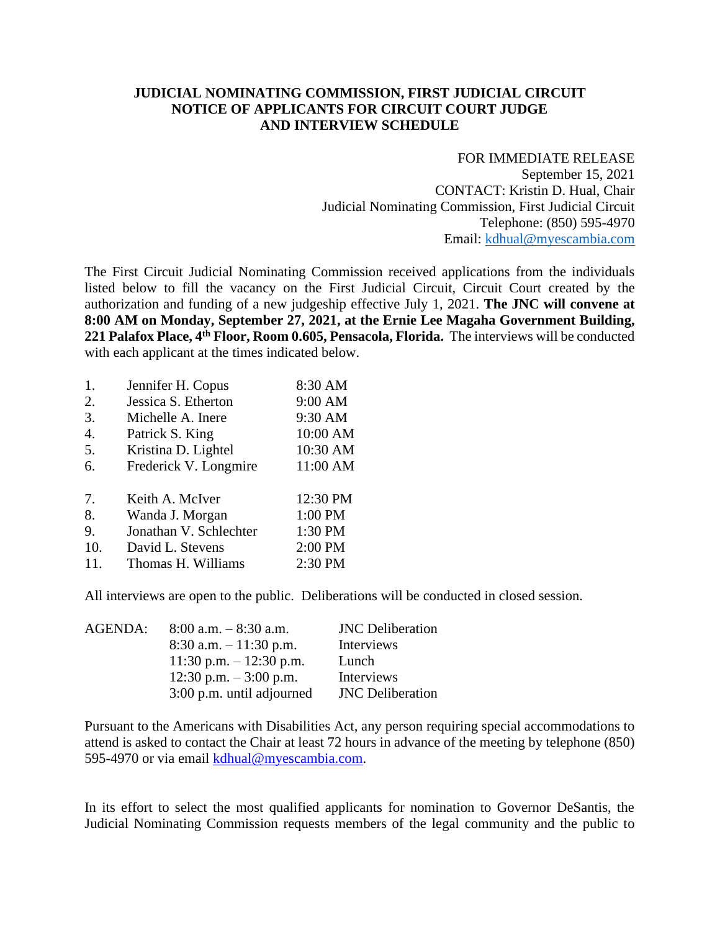## **JUDICIAL NOMINATING COMMISSION, FIRST JUDICIAL CIRCUIT NOTICE OF APPLICANTS FOR CIRCUIT COURT JUDGE AND INTERVIEW SCHEDULE**

FOR IMMEDIATE RELEASE September 15, 2021 CONTACT: Kristin D. Hual, Chair Judicial Nominating Commission, First Judicial Circuit Telephone: (850) 595-4970 Email: [kdhual@myescambia.com](mailto:kdhual@myescambia.com)

The First Circuit Judicial Nominating Commission received applications from the individuals listed below to fill the vacancy on the First Judicial Circuit, Circuit Court created by the authorization and funding of a new judgeship effective July 1, 2021. **The JNC will convene at 8:00 AM on Monday, September 27, 2021, at the Ernie Lee Magaha Government Building, 221 Palafox Place, 4th Floor, Room 0.605, Pensacola, Florida.** The interviews will be conducted with each applicant at the times indicated below.

| 1.  | Jennifer H. Copus      | 8:30 AM  |
|-----|------------------------|----------|
| 2.  | Jessica S. Etherton    | 9:00 AM  |
| 3.  | Michelle A. Inere      | 9:30 AM  |
| 4.  | Patrick S. King        | 10:00 AM |
| 5.  | Kristina D. Lightel    | 10:30 AM |
| 6.  | Frederick V. Longmire  | 11:00 AM |
| 7.  | Keith A. McIver        | 12:30 PM |
| 8.  | Wanda J. Morgan        | 1:00 PM  |
| 9.  | Jonathan V. Schlechter | 1:30 PM  |
| 10. | David L. Stevens       | 2:00 PM  |
| 11. | Thomas H. Williams     | 2:30 PM  |

All interviews are open to the public. Deliberations will be conducted in closed session.

| AGENDA: | $8:00$ a.m. $-8:30$ a.m.  | <b>JNC</b> Deliberation |
|---------|---------------------------|-------------------------|
|         | $8:30$ a.m. $-11:30$ p.m. | Interviews              |
|         | 11:30 p.m. $- 12:30$ p.m. | Lunch                   |
|         | 12:30 p.m. $-3:00$ p.m.   | Interviews              |
|         | 3:00 p.m. until adjourned | <b>JNC</b> Deliberation |

Pursuant to the Americans with Disabilities Act, any person requiring special accommodations to attend is asked to contact the Chair at least 72 hours in advance of the meeting by telephone (850) 595-4970 or via email [kdhual@myescambia.com.](mailto:kdhual@myescambia.com)

In its effort to select the most qualified applicants for nomination to Governor DeSantis, the Judicial Nominating Commission requests members of the legal community and the public to